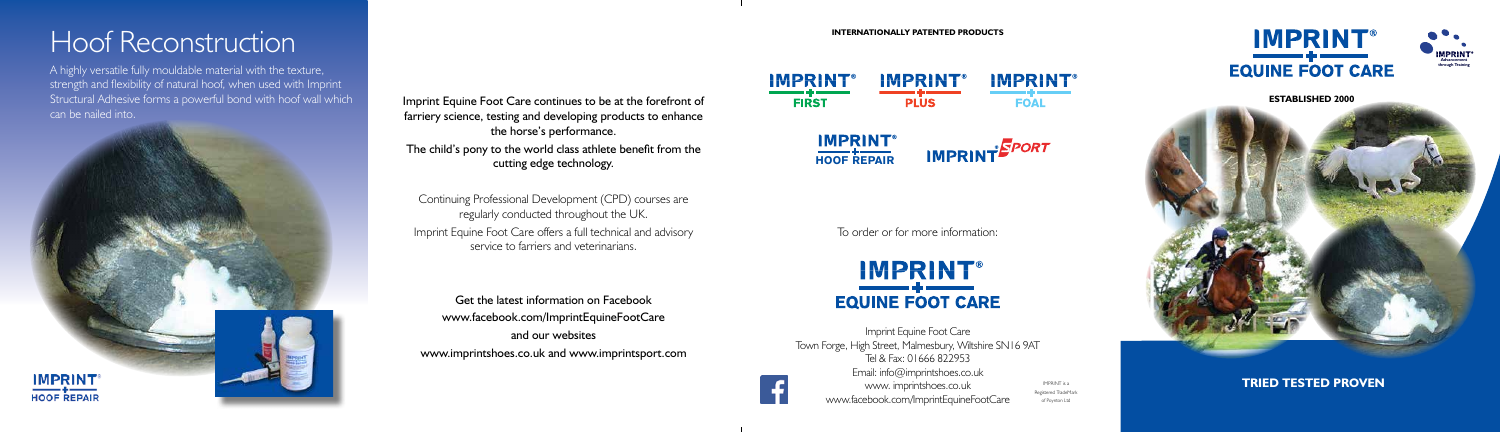



**ESTABLISHED 2000**



**TRIED TESTED PROVEN**